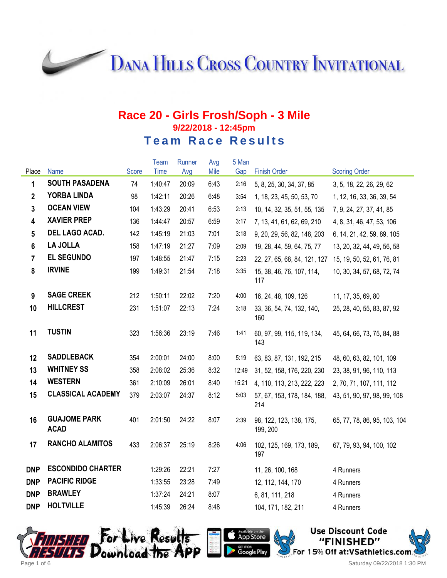**DANA HILLS CROSS COUNTRY INVITATIONAL** 

#### **Race 20 - Girls Frosh/Soph - 3 Mile 9/22/2018 - 12:45pm Team Race Results**

|                                    |             |              |       |      |       |                                     | <b>Scoring Order</b>                                  |
|------------------------------------|-------------|--------------|-------|------|-------|-------------------------------------|-------------------------------------------------------|
| <b>SOUTH PASADENA</b>              | 74          | 1:40:47      | 20:09 | 6:43 | 2:16  | 5, 8, 25, 30, 34, 37, 85            | 3, 5, 18, 22, 26, 29, 62                              |
| <b>YORBA LINDA</b>                 | 98          | 1:42:11      | 20:26 | 6:48 | 3:54  | 1, 18, 23, 45, 50, 53, 70           | 1, 12, 16, 33, 36, 39, 54                             |
| <b>OCEAN VIEW</b>                  | 104         | 1:43:29      | 20:41 | 6:53 | 2:13  | 10, 14, 32, 35, 51, 55, 135         | 7, 9, 24, 27, 37, 41, 85                              |
| <b>XAVIER PREP</b>                 | 136         | 1:44:47      | 20:57 | 6:59 | 3:17  | 7, 13, 41, 61, 62, 69, 210          | 4, 8, 31, 46, 47, 53, 106                             |
| DEL LAGO ACAD.                     | 142         | 1:45:19      | 21:03 | 7:01 | 3:18  | 9, 20, 29, 56, 82, 148, 203         | 6, 14, 21, 42, 59, 89, 105                            |
| <b>LA JOLLA</b>                    | 158         | 1:47:19      | 21:27 | 7:09 | 2:09  | 19, 28, 44, 59, 64, 75, 77          | 13, 20, 32, 44, 49, 56, 58                            |
| <b>EL SEGUNDO</b>                  | 197         | 1:48:55      | 21:47 | 7:15 | 2:23  | 22, 27, 65, 68, 84, 121, 127        | 15, 19, 50, 52, 61, 76, 81                            |
| <b>IRVINE</b>                      | 199         | 1:49:31      | 21:54 | 7:18 | 3:35  | 15, 38, 46, 76, 107, 114,<br>117    | 10, 30, 34, 57, 68, 72, 74                            |
| <b>SAGE CREEK</b>                  | 212         | 1:50:11      | 22:02 | 7:20 | 4:00  | 16, 24, 48, 109, 126                | 11, 17, 35, 69, 80                                    |
| <b>HILLCREST</b>                   | 231         | 1:51:07      | 22:13 | 7:24 | 3:18  | 33, 36, 54, 74, 132, 140,<br>160    | 25, 28, 40, 55, 83, 87, 92                            |
| <b>TUSTIN</b>                      | 323         | 1:56:36      | 23:19 | 7:46 | 1:41  | 60, 97, 99, 115, 119, 134,<br>143   | 45, 64, 66, 73, 75, 84, 88                            |
| <b>SADDLEBACK</b>                  | 354         | 2:00:01      | 24:00 | 8:00 | 5:19  | 63, 83, 87, 131, 192, 215           | 48, 60, 63, 82, 101, 109                              |
| <b>WHITNEY SS</b>                  | 358         | 2:08:02      | 25:36 | 8:32 | 12:49 | 31, 52, 158, 176, 220, 230          | 23, 38, 91, 96, 110, 113                              |
| <b>WESTERN</b>                     | 361         | 2:10:09      | 26:01 | 8:40 | 15:21 | 4, 110, 113, 213, 222, 223          | 2, 70, 71, 107, 111, 112                              |
| <b>CLASSICAL ACADEMY</b>           | 379         | 2:03:07      | 24:37 | 8:12 | 5:03  | 57, 67, 153, 178, 184, 188,<br>214  | 43, 51, 90, 97, 98, 99, 108                           |
| <b>GUAJOME PARK</b><br><b>ACAD</b> | 401         | 2:01:50      | 24:22 | 8:07 | 2:39  | 98, 122, 123, 138, 175,<br>199, 200 | 65, 77, 78, 86, 95, 103, 104                          |
| <b>RANCHO ALAMITOS</b>             | 433         | 2:06:37      | 25:19 | 8:26 | 4:06  | 102, 125, 169, 173, 189,<br>197     | 67, 79, 93, 94, 100, 102                              |
| <b>ESCONDIDO CHARTER</b>           |             | 1:29:26      | 22:21 | 7:27 |       | 11, 26, 100, 168                    | 4 Runners                                             |
| <b>PACIFIC RIDGE</b>               |             | 1:33:55      | 23:28 | 7:49 |       | 12, 112, 144, 170                   | 4 Runners                                             |
| <b>BRAWLEY</b>                     |             | 1:37:24      | 24:21 | 8:07 |       | 6, 81, 111, 218                     | 4 Runners                                             |
| <b>HOLTVILLE</b>                   |             | 1:45:39      | 26:24 | 8:48 |       | 104, 171, 182, 211                  | 4 Runners                                             |
|                                    | <b>Name</b> | <b>Score</b> | Time  | Avg  | Mile  | Gap                                 | Team<br>5 Man<br>Runner<br>Avg<br><b>Finish Order</b> |





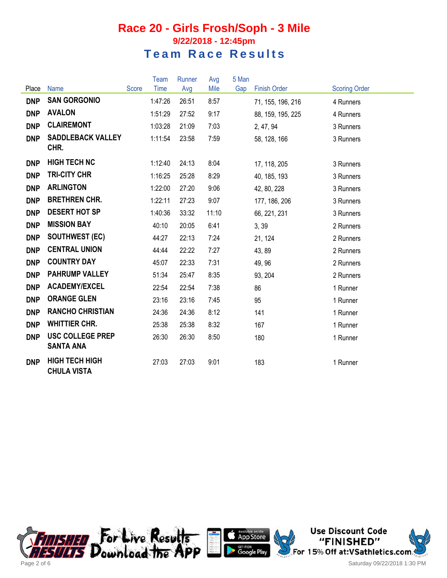|            |                                             |       | <b>Team</b> | Runner | Avg   | 5 Man |                     |                      |
|------------|---------------------------------------------|-------|-------------|--------|-------|-------|---------------------|----------------------|
| Place      | <b>Name</b>                                 | Score | Time        | Avg    | Mile  | Gap   | <b>Finish Order</b> | <b>Scoring Order</b> |
| <b>DNP</b> | <b>SAN GORGONIO</b>                         |       | 1:47:26     | 26:51  | 8:57  |       | 71, 155, 196, 216   | 4 Runners            |
| <b>DNP</b> | <b>AVALON</b>                               |       | 1:51:29     | 27:52  | 9:17  |       | 88, 159, 195, 225   | 4 Runners            |
| <b>DNP</b> | <b>CLAIREMONT</b>                           |       | 1:03:28     | 21:09  | 7:03  |       | 2, 47, 94           | 3 Runners            |
| <b>DNP</b> | <b>SADDLEBACK VALLEY</b><br>CHR.            |       | 1:11:54     | 23:58  | 7:59  |       | 58, 128, 166        | 3 Runners            |
| <b>DNP</b> | <b>HIGH TECH NC</b>                         |       | 1:12:40     | 24:13  | 8:04  |       | 17, 118, 205        | 3 Runners            |
| <b>DNP</b> | <b>TRI-CITY CHR</b>                         |       | 1:16:25     | 25:28  | 8:29  |       | 40, 185, 193        | 3 Runners            |
| <b>DNP</b> | <b>ARLINGTON</b>                            |       | 1:22:00     | 27:20  | 9:06  |       | 42, 80, 228         | 3 Runners            |
| <b>DNP</b> | <b>BRETHREN CHR.</b>                        |       | 1:22:11     | 27:23  | 9:07  |       | 177, 186, 206       | 3 Runners            |
| <b>DNP</b> | <b>DESERT HOT SP</b>                        |       | 1:40:36     | 33:32  | 11:10 |       | 66, 221, 231        | 3 Runners            |
| <b>DNP</b> | <b>MISSION BAY</b>                          |       | 40:10       | 20:05  | 6:41  |       | 3,39                | 2 Runners            |
| <b>DNP</b> | <b>SOUTHWEST (EC)</b>                       |       | 44:27       | 22:13  | 7:24  |       | 21, 124             | 2 Runners            |
| <b>DNP</b> | <b>CENTRAL UNION</b>                        |       | 44:44       | 22:22  | 7:27  |       | 43, 89              | 2 Runners            |
| <b>DNP</b> | <b>COUNTRY DAY</b>                          |       | 45:07       | 22:33  | 7:31  |       | 49, 96              | 2 Runners            |
| <b>DNP</b> | <b>PAHRUMP VALLEY</b>                       |       | 51:34       | 25:47  | 8:35  |       | 93, 204             | 2 Runners            |
| <b>DNP</b> | <b>ACADEMY/EXCEL</b>                        |       | 22:54       | 22:54  | 7:38  |       | 86                  | 1 Runner             |
| <b>DNP</b> | <b>ORANGE GLEN</b>                          |       | 23:16       | 23:16  | 7:45  |       | 95                  | 1 Runner             |
| <b>DNP</b> | <b>RANCHO CHRISTIAN</b>                     |       | 24:36       | 24:36  | 8:12  |       | 141                 | 1 Runner             |
| <b>DNP</b> | <b>WHITTIER CHR.</b>                        |       | 25:38       | 25:38  | 8:32  |       | 167                 | 1 Runner             |
| <b>DNP</b> | <b>USC COLLEGE PREP</b><br><b>SANTA ANA</b> |       | 26:30       | 26:30  | 8:50  |       | 180                 | 1 Runner             |
| <b>DNP</b> | <b>HIGH TECH HIGH</b><br><b>CHULA VISTA</b> |       | 27:03       | 27:03  | 9:01  |       | 183                 | 1 Runner             |





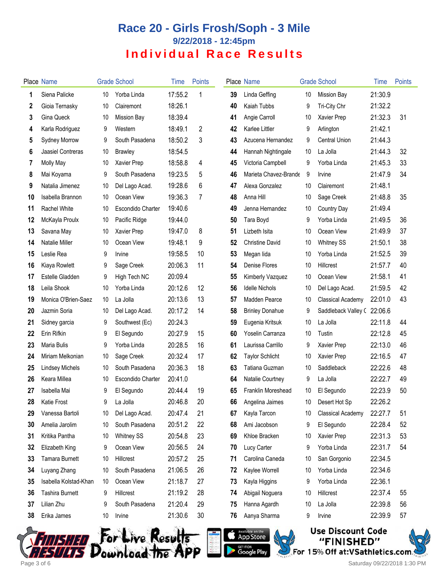|    | <b>Place Name</b>      |                 | <b>Grade School</b>      | Time    | <b>Points</b> |    | Place Name             |    | <b>Grade School</b>        | Time    | <b>Points</b> |
|----|------------------------|-----------------|--------------------------|---------|---------------|----|------------------------|----|----------------------------|---------|---------------|
| 1  | Siena Palicke          | 10              | Yorba Linda              | 17:55.2 | 1             | 39 | Linda Geffing          | 10 | <b>Mission Bay</b>         | 21:30.9 |               |
| 2  | Gioia Ternasky         | 10              | Clairemont               | 18:26.1 |               | 40 | Kaiah Tubbs            | 9  | Tri-City Chr               | 21:32.2 |               |
| 3  | Gina Queck             | 10              | <b>Mission Bay</b>       | 18:39.4 |               | 41 | Angie Carroll          | 10 | Xavier Prep                | 21:32.3 | 31            |
| 4  | Karla Rodriguez        | 9               | Western                  | 18:49.1 | 2             | 42 | <b>Karlee Littler</b>  | 9  | Arlington                  | 21:42.1 |               |
| 5  | <b>Sydney Morrow</b>   | 9               | South Pasadena           | 18:50.2 | 3             | 43 | Azucena Hernandez      | 9  | <b>Central Union</b>       | 21:44.3 |               |
| 6  | Jaasiel Contreras      | 10              | <b>Brawley</b>           | 18:54.5 |               | 44 | Hannah Nightingale     | 10 | La Jolla                   | 21:44.3 | 32            |
| 7  | Molly May              | 10              | Xavier Prep              | 18:58.8 | 4             | 45 | Victoria Campbell      | 9  | Yorba Linda                | 21:45.3 | 33            |
| 8  | Mai Koyama             | 9               | South Pasadena           | 19:23.5 | 5             | 46 | Marieta Chavez-Brande  | 9  | Irvine                     | 21:47.9 | 34            |
| 9  | Natalia Jimenez        | 10              | Del Lago Acad.           | 19:28.6 | 6             | 47 | Alexa Gonzalez         | 10 | Clairemont                 | 21:48.1 |               |
| 10 | Isabella Brannon       | 10              | Ocean View               | 19:36.3 | 7             | 48 | Anna Hill              | 10 | Sage Creek                 | 21:48.8 | 35            |
| 11 | Rachel White           | 10              | <b>Escondido Charter</b> | 19:40.6 |               | 49 | Jenna Hernandez        | 10 | Country Day                | 21:49.4 |               |
| 12 | McKayla Proulx         | 10              | Pacific Ridge            | 19:44.0 |               | 50 | Tara Boyd              | 9  | Yorba Linda                | 21:49.5 | 36            |
| 13 | Savana May             | 10              | Xavier Prep              | 19:47.0 | 8             | 51 | Lizbeth Isita          | 10 | Ocean View                 | 21:49.9 | 37            |
| 14 | <b>Natalie Miller</b>  | 10              | Ocean View               | 19:48.1 | 9             | 52 | <b>Christine David</b> | 10 | <b>Whitney SS</b>          | 21:50.1 | 38            |
| 15 | Leslie Rea             | 9               | Irvine                   | 19:58.5 | 10            | 53 | Megan lida             | 10 | Yorba Linda                | 21:52.5 | 39            |
| 16 | Kiaya Rowlett          | 9               | Sage Creek               | 20:06.3 | 11            | 54 | <b>Denise Flores</b>   | 10 | Hillcrest                  | 21:57.7 | 40            |
| 17 | Estelle Gladden        | 9               | High Tech NC             | 20:09.4 |               | 55 | Kimberly Vazquez       | 10 | Ocean View                 | 21:58.1 | 41            |
| 18 | Leila Shook            | 10              | Yorba Linda              | 20:12.6 | 12            | 56 | <b>Idelle Nichols</b>  | 10 | Del Lago Acad.             | 21:59.5 | 42            |
| 19 | Monica O'Brien-Saez    | 10 <sup>°</sup> | La Jolla                 | 20:13.6 | 13            | 57 | <b>Madden Pearce</b>   | 10 | Classical Academy          | 22:01.0 | 43            |
| 20 | Jazmin Soria           | 10              | Del Lago Acad.           | 20:17.2 | 14            | 58 | <b>Brinley Donahue</b> | 9  | Saddleback Valley (22:06.6 |         |               |
| 21 | Sidney garcia          | 9               | Southwest (Ec)           | 20:24.3 |               | 59 | Eugenia Kritsuk        | 10 | La Jolla                   | 22:11.8 | 44            |
| 22 | Erin Rifkin            | 9               | El Segundo               | 20:27.9 | 15            | 60 | Yoselin Carranza       | 10 | Tustin                     | 22:12.8 | 45            |
| 23 | <b>Maria Bulis</b>     | 9               | Yorba Linda              | 20:28.5 | 16            | 61 | Laurissa Carrillo      | 9  | Xavier Prep                | 22:13.0 | 46            |
| 24 | Miriam Melkonian       | 10              | Sage Creek               | 20:32.4 | 17            | 62 | <b>Taylor Schlicht</b> | 10 | Xavier Prep                | 22:16.5 | 47            |
| 25 | <b>Lindsey Michels</b> | 10              | South Pasadena           | 20:36.3 | 18            | 63 | Tatiana Guzman         | 10 | Saddleback                 | 22:22.6 | 48            |
| 26 | Keara Millea           | 10              | <b>Escondido Charter</b> | 20:41.0 |               | 64 | Natalie Courtney       | 9  | La Jolla                   | 22:22.7 | 49            |
| 27 | Isabella Mai           | 9               | El Segundo               | 20:44.4 | 19            | 65 | Franklin Moreshead     | 10 | El Segundo                 | 22:23.9 | 50            |
| 28 | <b>Katie Frost</b>     | 9               | l a Jolla                | 20:46.8 | 20            | 66 | Angelina Jaimes        | 10 | Desert Hot Sp              | 22:26.2 |               |
| 29 | Vanessa Bartoli        | 10              | Del Lago Acad.           | 20:47.4 | 21            | 67 | Kayla Tarcon           | 10 | <b>Classical Academy</b>   | 22:27.7 | 51            |
| 30 | Amelia Jarolim         | 10              | South Pasadena           | 20:51.2 | 22            | 68 | Ami Jacobson           | 9  | El Segundo                 | 22:28.4 | 52            |
| 31 | Kritika Pantha         | 10              | <b>Whitney SS</b>        | 20:54.8 | 23            | 69 | Khloe Bracken          | 10 | Xavier Prep                | 22:31.3 | 53            |
| 32 | Elizabeth King         | 9               | Ocean View               | 20:56.5 | 24            | 70 | Lucy Carter            | 9  | Yorba Linda                | 22:31.7 | 54            |
| 33 | <b>Tamara Burnett</b>  | 10              | Hillcrest                | 20:57.2 | 25            | 71 | Carolina Caneda        | 10 | San Gorgonio               | 22:34.5 |               |
| 34 | Luyang Zhang           | 10              | South Pasadena           | 21:06.5 | 26            | 72 | Kaylee Worrell         | 10 | Yorba Linda                | 22:34.6 |               |
| 35 | Isabella Kolstad-Khan  | 10              | Ocean View               | 21:18.7 | 27            | 73 | Kayla Higgins          | 9  | Yorba Linda                | 22:36.1 |               |
| 36 | Tashira Burnett        | 9               | Hillcrest                | 21:19.2 | 28            | 74 | Abigail Noguera        | 10 | Hillcrest                  | 22:37.4 | 55            |
| 37 | Lilian Zhu             | 9               | South Pasadena           | 21:20.4 | 29            | 75 | Hanna Agardh           | 10 | La Jolla                   | 22:39.8 | 56            |
| 38 | Erika James            | 10              | Irvine                   | 21:30.6 | 30            | 76 | Aanya Sharma           | 9  | Irvine                     | 22:39.9 | 57            |







FINISHED For Live Result<del>s</del><br>ESULTS Download the APP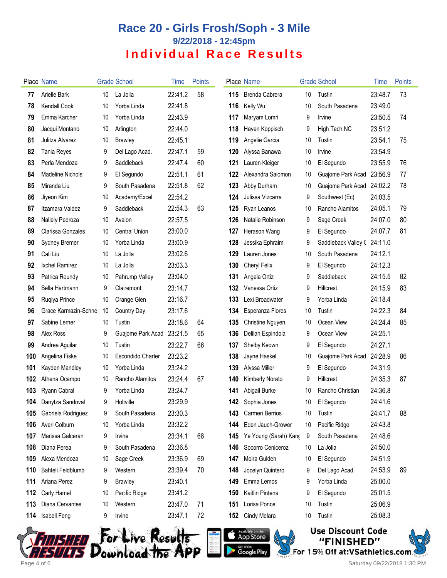|     | Place Name              |    | <b>Grade School</b>      | Time    | <b>Points</b> |     | Place Name                |    | <b>Grade School</b>         | Time    | <b>Points</b> |
|-----|-------------------------|----|--------------------------|---------|---------------|-----|---------------------------|----|-----------------------------|---------|---------------|
| 77  | Arielle Bark            | 10 | La Jolla                 | 22:41.2 | 58            | 115 | <b>Brenda Cabrera</b>     | 10 | Tustin                      | 23:48.7 | 73            |
| 78  | Kendall Cook            | 10 | Yorba Linda              | 22:41.8 |               | 116 | Kelly Wu                  | 10 | South Pasadena              | 23:49.0 |               |
| 79  | Emma Karcher            | 10 | Yorba Linda              | 22:43.9 |               | 117 | Maryam Lomri              | 9  | Irvine                      | 23:50.5 | 74            |
| 80  | Jacqui Montano          | 10 | Arlington                | 22:44.0 |               | 118 | Haven Koppisch            | 9  | High Tech NC                | 23:51.2 |               |
| 81  | Julitza Alvarez         | 10 | <b>Brawley</b>           | 22:45.1 |               | 119 | Angelie Garcia            | 10 | Tustin                      | 23:54.1 | 75            |
| 82  | Tania Reyes             | 9  | Del Lago Acad.           | 22:47.1 | 59            | 120 | Alyssa Banawa             | 10 | Irvine                      | 23:54.9 |               |
| 83  | Perla Mendoza           | 9  | Saddleback               | 22:47.4 | 60            | 121 | Lauren Kleiger            | 10 | El Segundo                  | 23:55.9 | 76            |
| 84  | <b>Madeline Nichols</b> | 9  | El Segundo               | 22:51.1 | 61            | 122 | Alexandra Salomon         | 10 | Guajome Park Acad           | 23:56.9 | 77            |
| 85  | Miranda Liu             | 9  | South Pasadena           | 22:51.8 | 62            | 123 | Abby Durham               | 10 | Guajome Park Acad           | 24:02.2 | 78            |
| 86  | Jiyeon Kim              | 10 | Academy/Excel            | 22:54.2 |               | 124 | Julissa Vizcarra          | 9  | Southwest (Ec)              | 24:03.5 |               |
| 87  | Itzamara Valdez         | 9  | Saddleback               | 22:54.3 | 63            | 125 | Ryan Leanos               | 10 | Rancho Alamitos             | 24:05.1 | 79            |
| 88  | Nallely Pedroza         | 10 | Avalon                   | 22:57.5 |               | 126 | Natalie Robinson          | 9  | Sage Creek                  | 24:07.0 | 80            |
| 89  | Clarissa Gonzales       | 10 | <b>Central Union</b>     | 23:00.0 |               | 127 | Herason Wang              | 9  | El Segundo                  | 24:07.7 | 81            |
| 90  | Sydney Bremer           | 10 | Yorba Linda              | 23:00.9 |               | 128 | Jessika Ephraim           | 9  | Saddleback Valley C 24:11.0 |         |               |
| 91  | Cali Liu                | 10 | La Jolla                 | 23:02.6 |               | 129 | Lauren Jones              | 10 | South Pasadena              | 24:12.1 |               |
| 92  | Ixchel Ramirez          | 10 | La Jolla                 | 23:03.3 |               | 130 | <b>Cheryl Felix</b>       | 9  | El Segundo                  | 24:12.3 |               |
| 93  | Patrica Roundy          | 10 | Pahrump Valley           | 23:04.0 |               | 131 | Angela Ortiz              | 9  | Saddleback                  | 24:15.5 | 82            |
| 94  | Bella Hartmann          | 9  | Clairemont               | 23:14.7 |               | 132 | Vanessa Ortiz             | 9  | <b>Hillcrest</b>            | 24:15.9 | 83            |
| 95  | Ruqiya Prince           | 10 | Orange Glen              | 23:16.7 |               | 133 | Lexi Broadwater           | 9  | Yorba Linda                 | 24:18.4 |               |
| 96  | Grace Karmazin-Schne    | 10 | Country Day              | 23:17.6 |               | 134 | <b>Esperanza Flores</b>   | 10 | Tustin                      | 24:22.3 | 84            |
| 97  | Sabine Lerner           | 10 | Tustin                   | 23:18.6 | 64            | 135 | Christine Nguyen          | 10 | Ocean View                  | 24:24.4 | 85            |
| 98  | Alex Ross               | 9  | Guajome Park Acad        | 23:21.5 | 65            | 136 | Delilah Espindola         | 9  | Ocean View                  | 24:25.1 |               |
| 99  | Andrea Aguilar          | 10 | Tustin                   | 23:22.7 | 66            | 137 | Shelby Keown              | 9  | El Segundo                  | 24:27.1 |               |
| 100 | Angelina Fiske          | 10 | <b>Escondido Charter</b> | 23:23.2 |               | 138 | Jayne Haskel              | 10 | Guajome Park Acad           | 24:28.9 | 86            |
| 101 | Kayden Mandley          | 10 | Yorba Linda              | 23:24.2 |               | 139 | Alyssa Miller             | 9  | El Segundo                  | 24:31.9 |               |
| 102 | Athena Ocampo           | 10 | Rancho Alamitos          | 23:24.4 | 67            | 140 | Kimberly Norato           | 9  | <b>Hillcrest</b>            | 24:35.3 | 87            |
| 103 | Ryann Cabral            | 9  | Yorba Linda              | 23:24.7 |               | 141 | Abigail Burke             | 10 | Rancho Christian            | 24:36.8 |               |
|     | 104 Danytza Sandoval    | 9  | Holtville                | 23:29.9 |               |     | 142 Sophia Jones          | 10 | El Segundo                  | 24:41.6 |               |
| 105 | Gabriela Rodriguez      | 9  | South Pasadena           | 23:30.3 |               |     | <b>143</b> Carmen Berrios | 10 | Tustin                      | 24:41.7 | 88            |
| 106 | Averi Colburn           | 10 | Yorba Linda              | 23:32.2 |               | 144 | Eden Jauch-Grower         | 10 | Pacific Ridge               | 24:43.8 |               |
| 107 | Marissa Galceran        | 9  | Irvine                   | 23:34.1 | 68            | 145 | Ye Young (Sarah) Kang     | 9  | South Pasadena              | 24:48.6 |               |
| 108 | Diana Perea             | 9  | South Pasadena           | 23:36.8 |               | 146 | Socorro Ceniceroz         | 10 | La Jolla                    | 24:50.0 |               |
| 109 | Alexa Mendoza           | 10 | Sage Creek               | 23:36.9 | 69            | 147 | Moira Gulden              | 10 | El Segundo                  | 24:51.9 |               |
| 110 | Bahteli Feldblumb       | 9  | Western                  | 23:39.4 | 70            | 148 | Jocelyn Quintero          | 9  | Del Lago Acad.              | 24:53.9 | 89            |
| 111 | Ariana Perez            | 9  | <b>Brawley</b>           | 23:40.1 |               | 149 | Emma Lemos                | 9  | Yorba Linda                 | 25:00.0 |               |
| 112 | Carly Hamel             | 10 | Pacific Ridge            | 23:41.2 |               | 150 | Kaitlin Pintens           | 9  | El Segundo                  | 25:01.5 |               |
| 113 | Diana Cervantes         | 10 | Western                  | 23:47.0 | 71            | 151 | Lorisa Ponce              | 10 | Tustin                      | 25:06.9 |               |
| 114 | Isabell Feng            | 9  | Irvine                   | 23:47.1 | 72            |     | 152 Cindy Melara          | 10 | Tustin                      | 25:08.3 |               |







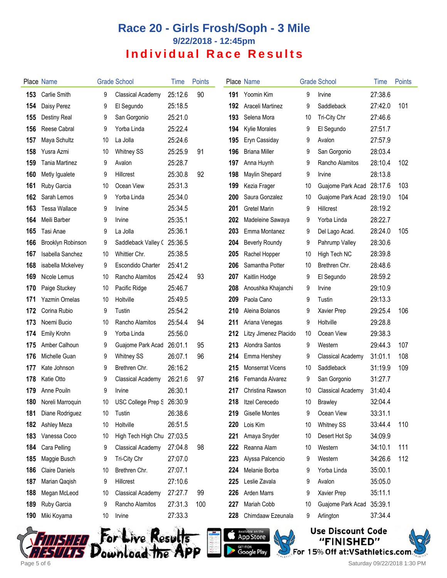|     | Place Name                  |    | <b>Grade School</b>         | Time    | <b>Points</b> |     | Place Name              |    | <b>Grade School</b>      | Time    | <b>Points</b> |
|-----|-----------------------------|----|-----------------------------|---------|---------------|-----|-------------------------|----|--------------------------|---------|---------------|
| 153 | Carlie Smith                | 9  | Classical Academy           | 25:12.6 | 90            | 191 | Yoomin Kim              | 9  | Irvine                   | 27:38.6 |               |
| 154 | Daisy Perez                 | 9  | El Segundo                  | 25:18.5 |               | 192 | Araceli Martinez        | 9  | Saddleback               | 27:42.0 | 101           |
| 155 | Destiny Real                | 9  | San Gorgonio                | 25:21.0 |               | 193 | Selena Mora             | 10 | Tri-City Chr             | 27:46.6 |               |
| 156 | Reese Cabral                | 9  | Yorba Linda                 | 25:22.4 |               | 194 | Kylie Morales           | 9  | El Segundo               | 27:51.7 |               |
| 157 | Maya Schultz                | 10 | La Jolla                    | 25:24.6 |               | 195 | Eryn Cassiday           | 9  | Avalon                   | 27:57.9 |               |
| 158 | Yusra Azmi                  | 10 | <b>Whitney SS</b>           | 25:25.9 | 91            | 196 | <b>Briana Miller</b>    | 9  | San Gorgonio             | 28:03.4 |               |
| 159 | <b>Tania Martinez</b>       | 9  | Avalon                      | 25:28.7 |               | 197 | Anna Huynh              | 9  | Rancho Alamitos          | 28:10.4 | 102           |
| 160 | Metly Igualete              | 9  | <b>Hillcrest</b>            | 25:30.8 | 92            | 198 | Maylin Shepard          | 9  | Irvine                   | 28:13.8 |               |
| 161 | Ruby Garcia                 | 10 | Ocean View                  | 25:31.3 |               | 199 | Kezia Frager            | 10 | Guajome Park Acad        | 28:17.6 | 103           |
| 162 | Sarah Lemos                 | 9  | Yorba Linda                 | 25:34.0 |               | 200 | Saura Gonzalez          | 10 | Guajome Park Acad        | 28:19.0 | 104           |
| 163 | Tessa Wallace               | 9  | Irvine                      | 25:34.5 |               | 201 | <b>Gretel Marin</b>     | 9  | Hillcrest                | 28:19.2 |               |
| 164 | Meili Barber                | 9  | Irvine                      | 25:35.1 |               | 202 | Madeleine Sawaya        | 9  | Yorba Linda              | 28:22.7 |               |
| 165 | Tasi Anae                   | 9  | La Jolla                    | 25:36.1 |               | 203 | Emma Montanez           | 9  | Del Lago Acad.           | 28:24.0 | 105           |
| 166 | Brooklyn Robinson           | 9  | Saddleback Valley C 25:36.5 |         |               | 204 | <b>Beverly Roundy</b>   | 9  | Pahrump Valley           | 28:30.6 |               |
| 167 | Isabella Sanchez            | 10 | Whittier Chr.               | 25:38.5 |               | 205 | Rachel Hopper           | 10 | High Tech NC             | 28:39.8 |               |
| 168 | isabella Mckelvey           | 9  | <b>Escondido Charter</b>    | 25:41.2 |               | 206 | Samantha Potter         | 10 | Brethren Chr.            | 28:48.6 |               |
| 169 | Nicole Lemus                | 10 | Rancho Alamitos             | 25:42.4 | 93            | 207 | Kaitlin Hodge           | 9  | El Segundo               | 28:59.2 |               |
| 170 | Paige Stuckey               | 10 | Pacific Ridge               | 25:46.7 |               | 208 | Anoushka Khajanchi      | 9  | Irvine                   | 29:10.9 |               |
| 171 | Yazmin Ornelas              | 10 | Holtville                   | 25:49.5 |               | 209 | Paola Cano              | 9  | Tustin                   | 29:13.3 |               |
| 172 | Corina Rubio                | 9  | Tustin                      | 25:54.2 |               | 210 | Aleina Bolanos          | 9  | Xavier Prep              | 29:25.4 | 106           |
| 173 | Noemi Bucio                 | 10 | Rancho Alamitos             | 25:54.4 | 94            | 211 | Ariana Venegas          | 9  | Holtville                | 29:28.8 |               |
| 174 | Emily Krohn                 | 9  | Yorba Linda                 | 25:56.0 |               | 212 | Litzy Jimenez Placido   | 10 | Ocean View               | 29:38.3 |               |
| 175 | Amber Calhoun               | 9  | Guajome Park Acad           | 26:01.1 | 95            | 213 | Alondra Santos          | 9  | Western                  | 29:44.3 | 107           |
| 176 | Michelle Guan               | 9  | <b>Whitney SS</b>           | 26:07.1 | 96            | 214 | Emma Hershey            | 9  | <b>Classical Academy</b> | 31:01.1 | 108           |
| 177 | Kate Johnson                | 9  | Brethren Chr.               | 26:16.2 |               | 215 | <b>Monserrat Vicens</b> | 10 | Saddleback               | 31:19.9 | 109           |
| 178 | Katie Otto                  | 9  | Classical Academy           | 26:21.6 | 97            | 216 | Fernanda Alvarez        | 9  | San Gorgonio             | 31:27.7 |               |
| 179 | Anne Pouiln                 | 9  | Irvine                      | 26:30.1 |               | 217 | Christina Rawson        | 10 | <b>Classical Academy</b> | 31:40.4 |               |
|     | <b>180</b> Noreli Marroquin | 10 | USC College Prep S 26:30.9  |         |               | 218 | Itzel Cerecedo          | 10 | <b>Brawley</b>           | 32:04.4 |               |
| 181 | Diane Rodriguez             | 10 | Tustin                      | 26:38.6 |               | 219 | <b>Giselle Montes</b>   | 9  | Ocean View               | 33:31.1 |               |
| 182 | Ashley Meza                 | 10 | Holtville                   | 26:51.5 |               | 220 | Lois Kim                | 10 | <b>Whitney SS</b>        | 33:44.4 | 110           |
| 183 | Vanessa Coco                | 10 | High Tech High Chu 27:03.5  |         |               | 221 | Amaya Snyder            | 10 | Desert Hot Sp            | 34:09.9 |               |
| 184 | Cara Pelling                | 9  | Classical Academy           | 27:04.8 | 98            | 222 | Reanna Alam             | 10 | Western                  | 34:10.1 | 111           |
| 185 | Maggie Busch                | 9  | Tri-City Chr                | 27:07.0 |               | 223 | Alyssa Palcencio        | 9  | Western                  | 34:26.6 | 112           |
| 186 | <b>Claire Daniels</b>       | 10 | Brethren Chr.               | 27:07.1 |               | 224 | Melanie Borba           | 9  | Yorba Linda              | 35:00.1 |               |
| 187 | Marian Qaqish               | 9  | Hillcrest                   | 27:10.6 |               | 225 | Leslie Zavala           | 9  | Avalon                   | 35:05.0 |               |
| 188 | Megan McLeod                | 10 | Classical Academy           | 27:27.7 | 99            | 226 | Arden Marrs             | 9  | Xavier Prep              | 35:11.1 |               |
| 189 | Ruby Garcia                 | 9  | Rancho Alamitos             | 27:31.3 | 100           | 227 | Mariah Cobb             | 10 | Guajome Park Acad        | 35:39.1 |               |
| 190 | Miki Koyama                 | 10 | Irvine                      | 27:33.3 |               | 228 | Chimdaaw Ezeunala       | 9  | Arlington                | 37:34.4 |               |
|     |                             |    |                             |         |               |     |                         |    |                          |         |               |